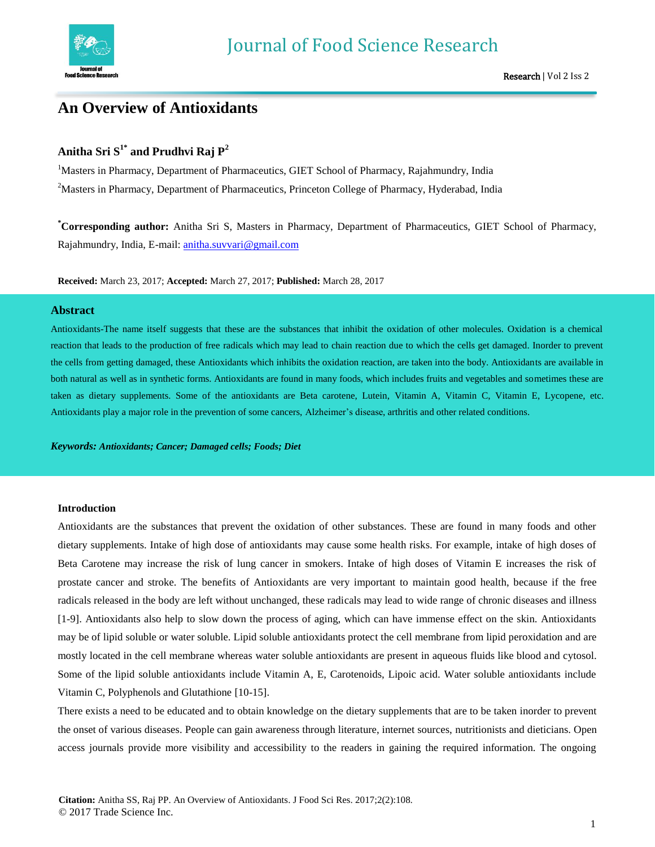

# **An Overview of Antioxidants**

# **Anitha Sri S1\* and Prudhvi Raj P<sup>2</sup>**

<sup>1</sup>Masters in Pharmacy, Department of Pharmaceutics, GIET School of Pharmacy, Rajahmundry, India <sup>2</sup>Masters in Pharmacy, Department of Pharmaceutics, Princeton College of Pharmacy, Hyderabad, India

**\*Corresponding author:** Anitha Sri S, Masters in Pharmacy, Department of Pharmaceutics, GIET School of Pharmacy, Rajahmundry, India, E-mail: [anitha.suvvari@gmail.com](mailto:anitha.suvvari@gmail.com)

**Received:** March 23, 2017; **Accepted:** March 27, 2017; **Published:** March 28, 2017

# **Abstract**

Antioxidants-The name itself suggests that these are the substances that inhibit the oxidation of other molecules. Oxidation is a chemical reaction that leads to the production of free radicals which may lead to chain reaction due to which the cells get damaged. Inorder to prevent the cells from getting damaged, these Antioxidants which inhibits the oxidation reaction, are taken into the body. Antioxidants are available in both natural as well as in synthetic forms. Antioxidants are found in many foods, which includes fruits and vegetables and sometimes these are taken as dietary supplements. Some of the antioxidants are Beta carotene, Lutein, Vitamin A, Vitamin C, Vitamin E, Lycopene, etc. Antioxidants play a major role in the prevention of some cancers, Alzheimer's disease, arthritis and other related conditions.

*Keywords: Antioxidants; Cancer; Damaged cells; Foods; Diet*

# **Introduction**

Antioxidants are the substances that prevent the oxidation of other substances. These are found in many foods and other dietary supplements. Intake of high dose of antioxidants may cause some health risks. For example, intake of high doses of Beta Carotene may increase the risk of lung cancer in smokers. Intake of high doses of Vitamin E increases the risk of prostate cancer and stroke. The benefits of Antioxidants are very important to maintain good health, because if the free radicals released in the body are left without unchanged, these radicals may lead to wide range of chronic diseases and illness [1-9]. Antioxidants also help to slow down the process of aging, which can have immense effect on the skin. Antioxidants may be of lipid soluble or water soluble. Lipid soluble antioxidants protect the cell membrane from lipid peroxidation and are mostly located in the cell membrane whereas water soluble antioxidants are present in aqueous fluids like blood and cytosol. Some of the lipid soluble antioxidants include Vitamin A, E, Carotenoids, Lipoic acid. Water soluble antioxidants include Vitamin C, Polyphenols and Glutathione [10-15].

There exists a need to be educated and to obtain knowledge on the dietary supplements that are to be taken inorder to prevent the onset of various diseases. People can gain awareness through literature, internet sources, nutritionists and dieticians. Open access journals provide more visibility and accessibility to the readers in gaining the required information. The ongoing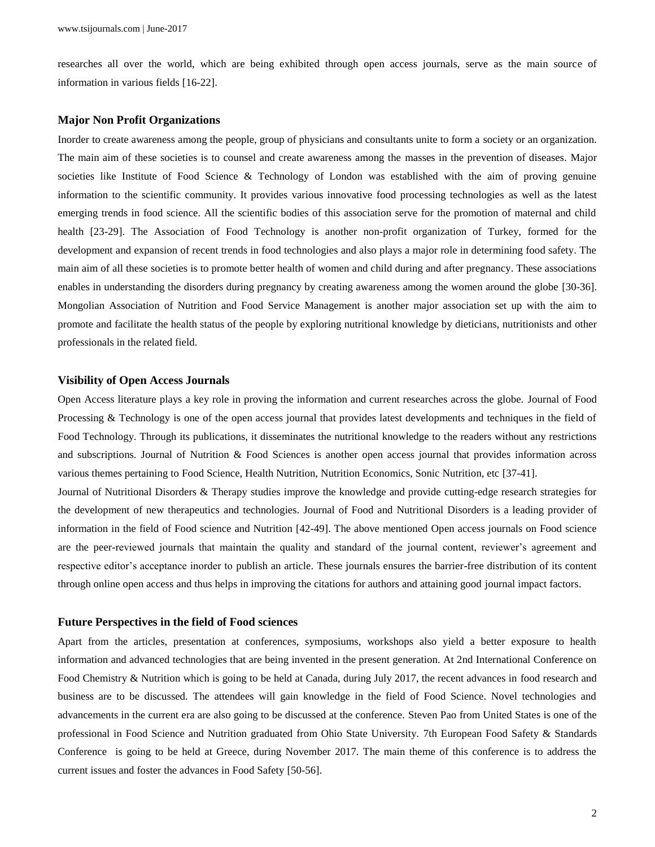researches all over the world, which are being exhibited through open access journals, serve as the main source of information in various fields [16-22].

### **Major Non Profit Organizations**

Inorder to create awareness among the people, group of physicians and consultants unite to form a society or an organization. The main aim of these societies is to counsel and create awareness among the masses in the prevention of diseases. Major societies like Institute of Food Science & Technology of London was established with the aim of proving genuine information to the scientific community. It provides various innovative food processing technologies as well as the latest emerging trends in food science. All the scientific bodies of this association serve for the promotion of maternal and child health [23-29]. The Association of Food Technology is another non-profit organization of Turkey, formed for the development and expansion of recent trends in food technologies and also plays a major role in determining food safety. The main aim of all these societies is to promote better health of women and child during and after pregnancy. These associations enables in understanding the disorders during pregnancy by creating awareness among the women around the globe [30-36]. Mongolian Association of Nutrition and Food Service Management is another major association set up with the aim to promote and facilitate the health status of the people by exploring nutritional knowledge by dieticians, nutritionists and other professionals in the related field.

#### **Visibility of Open Access Journals**

Open Access literature plays a key role in proving the information and current researches across the globe. Journal of Food Processing & Technology is one of the open access journal that provides latest developments and techniques in the field of Food Technology. Through its publications, it disseminates the nutritional knowledge to the readers without any restrictions and subscriptions. Journal of Nutrition & Food Sciences is another open access journal that provides information across various themes pertaining to Food Science, Health Nutrition, Nutrition Economics, Sonic Nutrition, etc [37-41].

Journal of Nutritional Disorders & Therapy studies improve the knowledge and provide cutting-edge research strategies for the development of new therapeutics and technologies. Journal of Food and Nutritional Disorders is a leading provider of information in the field of Food science and Nutrition [42-49]. The above mentioned Open access journals on Food science are the peer-reviewed journals that maintain the quality and standard of the journal content, reviewer's agreement and respective editor's acceptance inorder to publish an article. These journals ensures the barrier-free distribution of its content through online open access and thus helps in improving the citations for authors and attaining good journal impact factors.

#### **Future Perspectives in the field of Food sciences**

Apart from the articles, presentation at conferences, symposiums, workshops also yield a better exposure to health information and advanced technologies that are being invented in the present generation. At 2nd International Conference on Food Chemistry & Nutrition which is going to be held at Canada, during July 2017, the recent advances in food research and business are to be discussed. The attendees will gain knowledge in the field of Food Science. Novel technologies and advancements in the current era are also going to be discussed at the conference. Steven Pao from United States is one of the professional in Food Science and Nutrition graduated from Ohio State University. 7th European Food Safety & Standards Conference is going to be held at Greece, during November 2017. The main theme of this conference is to address the current issues and foster the advances in Food Safety [50-56].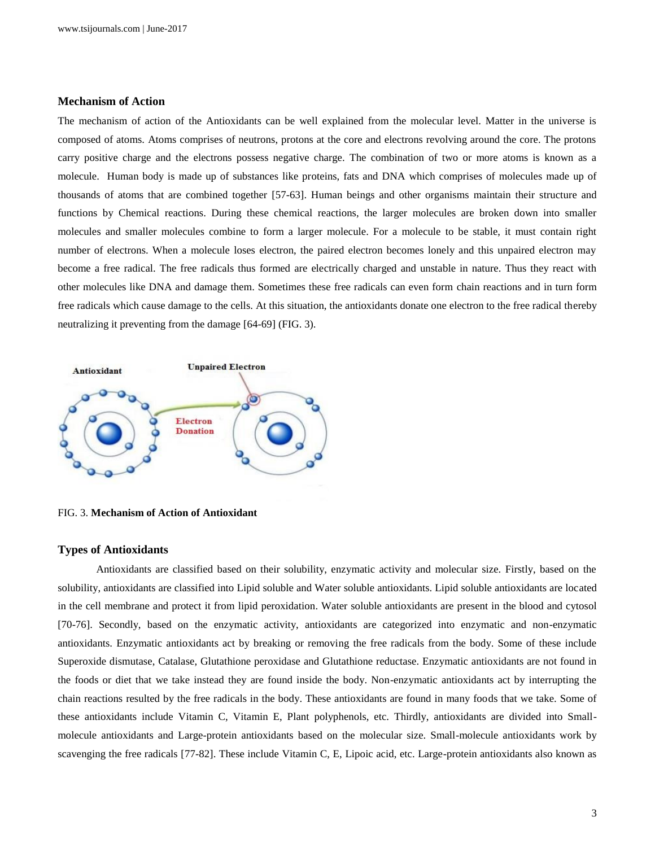# **Mechanism of Action**

The mechanism of action of the Antioxidants can be well explained from the molecular level. Matter in the universe is composed of atoms. Atoms comprises of neutrons, protons at the core and electrons revolving around the core. The protons carry positive charge and the electrons possess negative charge. The combination of two or more atoms is known as a molecule. Human body is made up of substances like proteins, fats and DNA which comprises of molecules made up of thousands of atoms that are combined together [57-63]. Human beings and other organisms maintain their structure and functions by Chemical reactions. During these chemical reactions, the larger molecules are broken down into smaller molecules and smaller molecules combine to form a larger molecule. For a molecule to be stable, it must contain right number of electrons. When a molecule loses electron, the paired electron becomes lonely and this unpaired electron may become a free radical. The free radicals thus formed are electrically charged and unstable in nature. Thus they react with other molecules like DNA and damage them. Sometimes these free radicals can even form chain reactions and in turn form free radicals which cause damage to the cells. At this situation, the antioxidants donate one electron to the free radical thereby neutralizing it preventing from the damage [64-69] (FIG. 3).



FIG. 3. **Mechanism of Action of Antioxidant**

#### **Types of Antioxidants**

Antioxidants are classified based on their solubility, enzymatic activity and molecular size. Firstly, based on the solubility, antioxidants are classified into Lipid soluble and Water soluble antioxidants. Lipid soluble antioxidants are located in the cell membrane and protect it from lipid peroxidation. Water soluble antioxidants are present in the blood and cytosol [70-76]. Secondly, based on the enzymatic activity, antioxidants are categorized into enzymatic and non-enzymatic antioxidants. Enzymatic antioxidants act by breaking or removing the free radicals from the body. Some of these include Superoxide dismutase, Catalase, Glutathione peroxidase and Glutathione reductase. Enzymatic antioxidants are not found in the foods or diet that we take instead they are found inside the body. Non-enzymatic antioxidants act by interrupting the chain reactions resulted by the free radicals in the body. These antioxidants are found in many foods that we take. Some of these antioxidants include Vitamin C, Vitamin E, Plant polyphenols, etc. Thirdly, antioxidants are divided into Smallmolecule antioxidants and Large-protein antioxidants based on the molecular size. Small-molecule antioxidants work by scavenging the free radicals [77-82]. These include Vitamin C, E, Lipoic acid, etc. Large-protein antioxidants also known as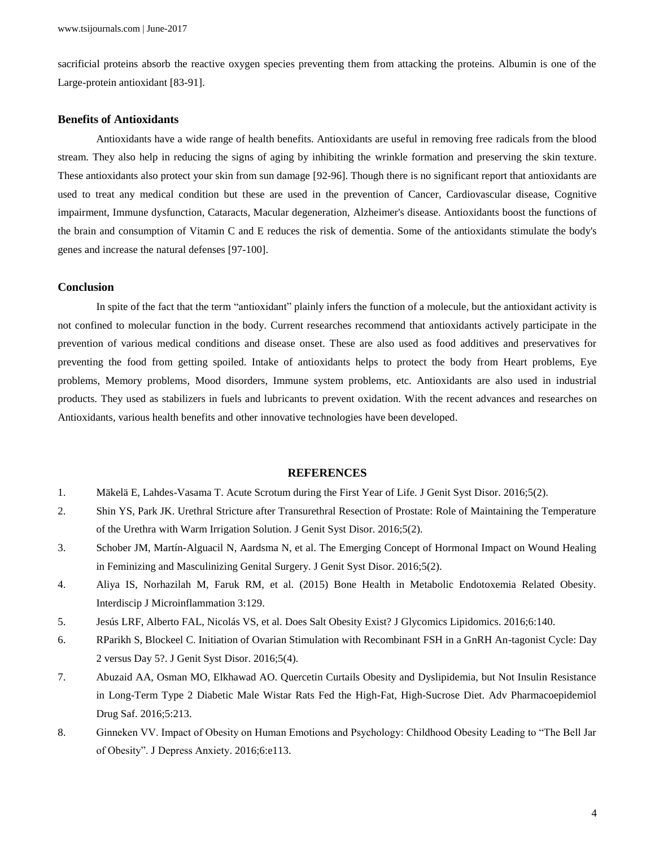sacrificial proteins absorb the reactive oxygen species preventing them from attacking the proteins. Albumin is one of the Large-protein antioxidant [83-91].

# **Benefits of Antioxidants**

Antioxidants have a wide range of health benefits. Antioxidants are useful in removing free radicals from the blood stream. They also help in reducing the signs of aging by inhibiting the wrinkle formation and preserving the skin texture. These antioxidants also protect your skin from sun damage [92-96]. Though there is no significant report that antioxidants are used to treat any medical condition but these are used in the prevention of Cancer, Cardiovascular disease, Cognitive impairment, Immune dysfunction, Cataracts, Macular degeneration, Alzheimer's disease. Antioxidants boost the functions of the brain and consumption of Vitamin C and E reduces the risk of dementia. Some of the antioxidants stimulate the body's genes and increase the natural defenses [97-100].

# **Conclusion**

In spite of the fact that the term "antioxidant" plainly infers the function of a molecule, but the antioxidant activity is not confined to molecular function in the body. Current researches recommend that antioxidants actively participate in the prevention of various medical conditions and disease onset. These are also used as food additives and preservatives for preventing the food from getting spoiled. Intake of antioxidants helps to protect the body from Heart problems, Eye problems, Memory problems, Mood disorders, Immune system problems, etc. Antioxidants are also used in industrial products. They used as stabilizers in fuels and lubricants to prevent oxidation. With the recent advances and researches on Antioxidants, various health benefits and other innovative technologies have been developed.

#### **REFERENCES**

- 1. Mäkelä E, Lahdes-Vasama T. Acute Scrotum during the First Year of Life. J Genit Syst Disor. 2016;5(2).
- 2. Shin YS, Park JK. Urethral Stricture after Transurethral Resection of Prostate: Role of Maintaining the Temperature of the Urethra with Warm Irrigation Solution. J Genit Syst Disor. 2016;5(2).
- 3. Schober JM, Martín-Alguacil N, Aardsma N, et al. The Emerging Concept of Hormonal Impact on Wound Healing in Feminizing and Masculinizing Genital Surgery. J Genit Syst Disor. 2016;5(2).
- 4. Aliya IS, Norhazilah M, Faruk RM, et al. (2015) Bone Health in Metabolic Endotoxemia Related Obesity. Interdiscip J Microinflammation 3:129.
- 5. Jesús LRF, Alberto FAL, Nicolás VS, et al. Does Salt Obesity Exist? J Glycomics Lipidomics. 2016;6:140.
- 6. RParikh S, Blockeel C. Initiation of Ovarian Stimulation with Recombinant FSH in a GnRH An-tagonist Cycle: Day 2 versus Day 5?. J Genit Syst Disor. 2016;5(4).
- 7. Abuzaid AA, Osman MO, Elkhawad AO. Quercetin Curtails Obesity and Dyslipidemia, but Not Insulin Resistance in Long-Term Type 2 Diabetic Male Wistar Rats Fed the High-Fat, High-Sucrose Diet. Adv Pharmacoepidemiol Drug Saf. 2016;5:213.
- 8. Ginneken VV. Impact of Obesity on Human Emotions and Psychology: Childhood Obesity Leading to "The Bell Jar of Obesity". J Depress Anxiety. 2016;6:e113.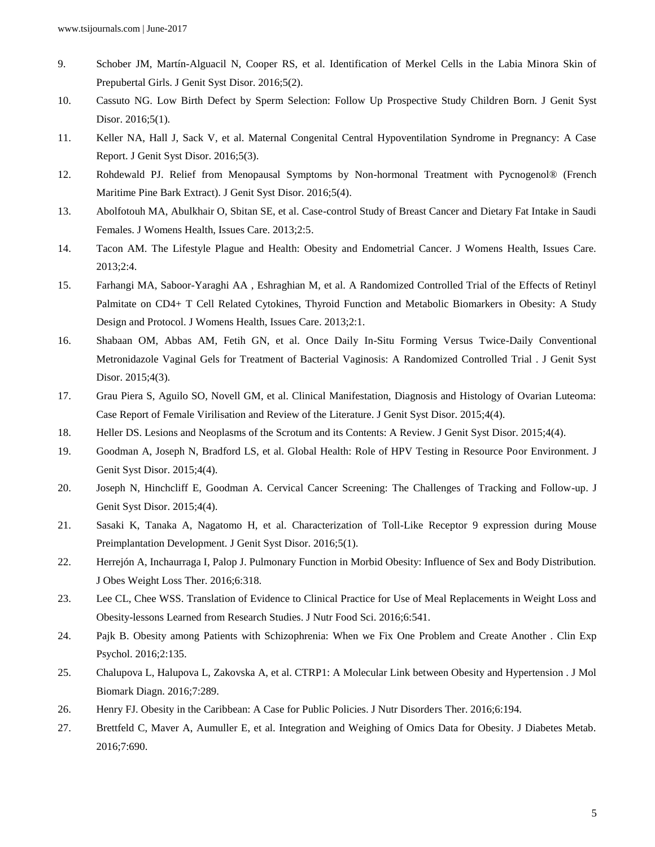- 9. Schober JM, Martín-Alguacil N, Cooper RS, et al. Identification of Merkel Cells in the Labia Minora Skin of Prepubertal Girls. J Genit Syst Disor. 2016;5(2).
- 10. Cassuto NG. Low Birth Defect by Sperm Selection: Follow Up Prospective Study Children Born. J Genit Syst Disor. 2016;5(1).
- 11. Keller NA, Hall J, Sack V, et al. Maternal Congenital Central Hypoventilation Syndrome in Pregnancy: A Case Report. J Genit Syst Disor. 2016;5(3).
- 12. Rohdewald PJ. Relief from Menopausal Symptoms by Non-hormonal Treatment with Pycnogenol® (French Maritime Pine Bark Extract). J Genit Syst Disor. 2016;5(4).
- 13. Abolfotouh MA, Abulkhair O, Sbitan SE, et al. Case-control Study of Breast Cancer and Dietary Fat Intake in Saudi Females. J Womens Health, Issues Care. 2013;2:5.
- 14. Tacon AM. The Lifestyle Plague and Health: Obesity and Endometrial Cancer. J Womens Health, Issues Care. 2013;2:4.
- 15. Farhangi MA, Saboor-Yaraghi AA , Eshraghian M, et al. A Randomized Controlled Trial of the Effects of Retinyl Palmitate on CD4+ T Cell Related Cytokines, Thyroid Function and Metabolic Biomarkers in Obesity: A Study Design and Protocol. J Womens Health, Issues Care. 2013;2:1.
- 16. Shabaan OM, Abbas AM, Fetih GN, et al. Once Daily In-Situ Forming Versus Twice-Daily Conventional Metronidazole Vaginal Gels for Treatment of Bacterial Vaginosis: A Randomized Controlled Trial . J Genit Syst Disor. 2015;4(3).
- 17. Grau Piera S, Aguilo SO, Novell GM, et al. Clinical Manifestation, Diagnosis and Histology of Ovarian Luteoma: Case Report of Female Virilisation and Review of the Literature. J Genit Syst Disor. 2015;4(4).
- 18. Heller DS. Lesions and Neoplasms of the Scrotum and its Contents: A Review. J Genit Syst Disor. 2015;4(4).
- 19. Goodman A, Joseph N, Bradford LS, et al. Global Health: Role of HPV Testing in Resource Poor Environment. J Genit Syst Disor. 2015;4(4).
- 20. Joseph N, Hinchcliff E, Goodman A. Cervical Cancer Screening: The Challenges of Tracking and Follow-up. J Genit Syst Disor. 2015;4(4).
- 21. Sasaki K, Tanaka A, Nagatomo H, et al. Characterization of Toll-Like Receptor 9 expression during Mouse Preimplantation Development. J Genit Syst Disor. 2016;5(1).
- 22. Herrejón A, Inchaurraga I, Palop J. Pulmonary Function in Morbid Obesity: Influence of Sex and Body Distribution. J Obes Weight Loss Ther. 2016;6:318.
- 23. Lee CL, Chee WSS. Translation of Evidence to Clinical Practice for Use of Meal Replacements in Weight Loss and Obesity-lessons Learned from Research Studies. J Nutr Food Sci. 2016;6:541.
- 24. Pajk B. Obesity among Patients with Schizophrenia: When we Fix One Problem and Create Another . Clin Exp Psychol. 2016;2:135.
- 25. Chalupova L, Halupova L, Zakovska A, et al. CTRP1: A Molecular Link between Obesity and Hypertension . J Mol Biomark Diagn. 2016;7:289.
- 26. Henry FJ. Obesity in the Caribbean: A Case for Public Policies. J Nutr Disorders Ther. 2016;6:194.
- 27. Brettfeld C, Maver A, Aumuller E, et al. Integration and Weighing of Omics Data for Obesity. J Diabetes Metab. 2016;7:690.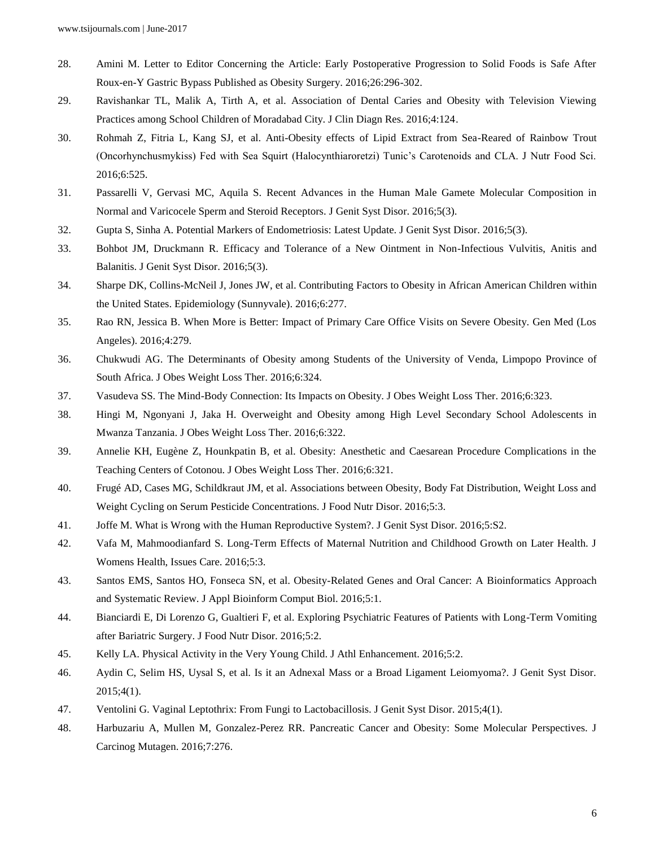- 28. Amini M. Letter to Editor Concerning the Article: Early Postoperative Progression to Solid Foods is Safe After Roux-en-Y Gastric Bypass Published as Obesity Surgery. 2016;26:296-302.
- 29. Ravishankar TL, Malik A, Tirth A, et al. Association of Dental Caries and Obesity with Television Viewing Practices among School Children of Moradabad City. J Clin Diagn Res. 2016;4:124.
- 30. Rohmah Z, Fitria L, Kang SJ, et al. Anti-Obesity effects of Lipid Extract from Sea-Reared of Rainbow Trout (Oncorhynchusmykiss) Fed with Sea Squirt (Halocynthiaroretzi) Tunic's Carotenoids and CLA. J Nutr Food Sci. 2016;6:525.
- 31. Passarelli V, Gervasi MC, Aquila S. Recent Advances in the Human Male Gamete Molecular Composition in Normal and Varicocele Sperm and Steroid Receptors. J Genit Syst Disor. 2016;5(3).
- 32. Gupta S, Sinha A. Potential Markers of Endometriosis: Latest Update. J Genit Syst Disor. 2016;5(3).
- 33. Bohbot JM, Druckmann R. Efficacy and Tolerance of a New Ointment in Non-Infectious Vulvitis, Anitis and Balanitis. J Genit Syst Disor. 2016;5(3).
- 34. Sharpe DK, Collins-McNeil J, Jones JW, et al. Contributing Factors to Obesity in African American Children within the United States. Epidemiology (Sunnyvale). 2016;6:277.
- 35. Rao RN, Jessica B. When More is Better: Impact of Primary Care Office Visits on Severe Obesity. Gen Med (Los Angeles). 2016;4:279.
- 36. Chukwudi AG. The Determinants of Obesity among Students of the University of Venda, Limpopo Province of South Africa. J Obes Weight Loss Ther. 2016;6:324.
- 37. Vasudeva SS. The Mind-Body Connection: Its Impacts on Obesity. J Obes Weight Loss Ther. 2016;6:323.
- 38. Hingi M, Ngonyani J, Jaka H. Overweight and Obesity among High Level Secondary School Adolescents in Mwanza Tanzania. J Obes Weight Loss Ther. 2016;6:322.
- 39. Annelie KH, Eugène Z, Hounkpatin B, et al. Obesity: Anesthetic and Caesarean Procedure Complications in the Teaching Centers of Cotonou. J Obes Weight Loss Ther. 2016;6:321.
- 40. Frugé AD, Cases MG, Schildkraut JM, et al. Associations between Obesity, Body Fat Distribution, Weight Loss and Weight Cycling on Serum Pesticide Concentrations. J Food Nutr Disor. 2016;5:3.
- 41. Joffe M. What is Wrong with the Human Reproductive System?. J Genit Syst Disor. 2016;5:S2.
- 42. Vafa M, Mahmoodianfard S. Long-Term Effects of Maternal Nutrition and Childhood Growth on Later Health. J Womens Health, Issues Care. 2016;5:3.
- 43. Santos EMS, Santos HO, Fonseca SN, et al. Obesity-Related Genes and Oral Cancer: A Bioinformatics Approach and Systematic Review. J Appl Bioinform Comput Biol. 2016;5:1.
- 44. Bianciardi E, Di Lorenzo G, Gualtieri F, et al. Exploring Psychiatric Features of Patients with Long-Term Vomiting after Bariatric Surgery. J Food Nutr Disor. 2016;5:2.
- 45. Kelly LA. Physical Activity in the Very Young Child. J Athl Enhancement. 2016;5:2.
- 46. Aydin C, Selim HS, Uysal S, et al. Is it an Adnexal Mass or a Broad Ligament Leiomyoma?. J Genit Syst Disor. 2015;4(1).
- 47. Ventolini G. Vaginal Leptothrix: From Fungi to Lactobacillosis. J Genit Syst Disor. 2015;4(1).
- 48. Harbuzariu A, Mullen M, Gonzalez-Perez RR. Pancreatic Cancer and Obesity: Some Molecular Perspectives. J Carcinog Mutagen. 2016;7:276.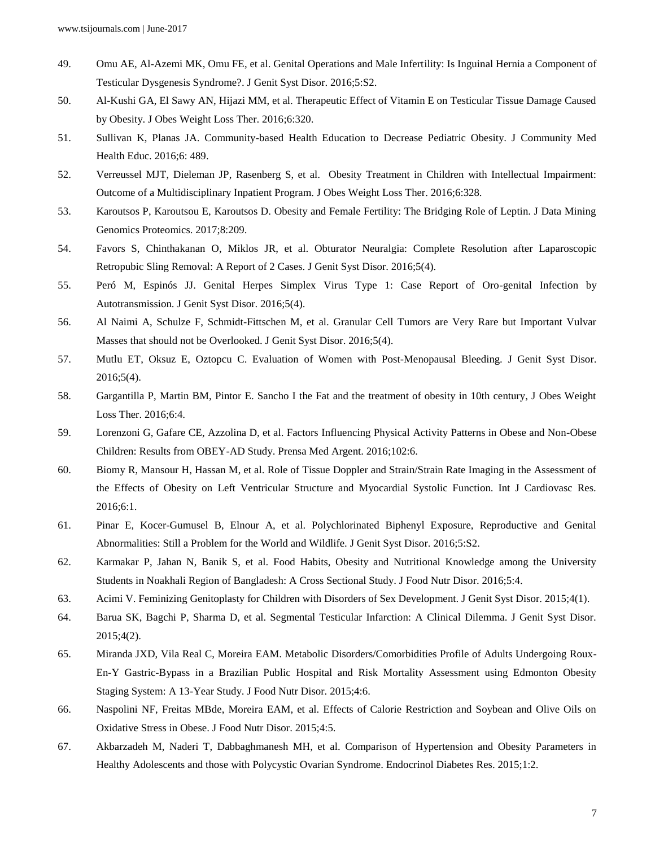- 49. Omu AE, Al-Azemi MK, Omu FE, et al. Genital Operations and Male Infertility: Is Inguinal Hernia a Component of Testicular Dysgenesis Syndrome?. J Genit Syst Disor. 2016;5:S2.
- 50. Al-Kushi GA, El Sawy AN, Hijazi MM, et al. Therapeutic Effect of Vitamin E on Testicular Tissue Damage Caused by Obesity. J Obes Weight Loss Ther. 2016;6:320.
- 51. Sullivan K, Planas JA. Community-based Health Education to Decrease Pediatric Obesity. J Community Med Health Educ. 2016;6: 489.
- 52. Verreussel MJT, Dieleman JP, Rasenberg S, et al. Obesity Treatment in Children with Intellectual Impairment: Outcome of a Multidisciplinary Inpatient Program. J Obes Weight Loss Ther. 2016;6:328.
- 53. Karoutsos P, Karoutsou E, Karoutsos D. Obesity and Female Fertility: The Bridging Role of Leptin. J Data Mining Genomics Proteomics. 2017;8:209.
- 54. Favors S, Chinthakanan O, Miklos JR, et al. Obturator Neuralgia: Complete Resolution after Laparoscopic Retropubic Sling Removal: A Report of 2 Cases. J Genit Syst Disor. 2016;5(4).
- 55. Peró M, Espinós JJ. Genital Herpes Simplex Virus Type 1: Case Report of Oro-genital Infection by Autotransmission. J Genit Syst Disor. 2016;5(4).
- 56. Al Naimi A, Schulze F, Schmidt-Fittschen M, et al. Granular Cell Tumors are Very Rare but Important Vulvar Masses that should not be Overlooked. J Genit Syst Disor. 2016;5(4).
- 57. Mutlu ET, Oksuz E, Oztopcu C. Evaluation of Women with Post-Menopausal Bleeding. J Genit Syst Disor. 2016;5(4).
- 58. Gargantilla P, Martin BM, Pintor E. Sancho I the Fat and the treatment of obesity in 10th century, J Obes Weight Loss Ther. 2016;6:4.
- 59. Lorenzoni G, Gafare CE, Azzolina D, et al. Factors Influencing Physical Activity Patterns in Obese and Non-Obese Children: Results from OBEY-AD Study. Prensa Med Argent. 2016;102:6.
- 60. Biomy R, Mansour H, Hassan M, et al. Role of Tissue Doppler and Strain/Strain Rate Imaging in the Assessment of the Effects of Obesity on Left Ventricular Structure and Myocardial Systolic Function. Int J Cardiovasc Res. 2016;6:1.
- 61. Pinar E, Kocer-Gumusel B, Elnour A, et al. Polychlorinated Biphenyl Exposure, Reproductive and Genital Abnormalities: Still a Problem for the World and Wildlife. J Genit Syst Disor. 2016;5:S2.
- 62. Karmakar P, Jahan N, Banik S, et al. Food Habits, Obesity and Nutritional Knowledge among the University Students in Noakhali Region of Bangladesh: A Cross Sectional Study. J Food Nutr Disor. 2016;5:4.
- 63. Acimi V. Feminizing Genitoplasty for Children with Disorders of Sex Development. J Genit Syst Disor. 2015;4(1).
- 64. Barua SK, Bagchi P, Sharma D, et al. Segmental Testicular Infarction: A Clinical Dilemma. J Genit Syst Disor. 2015;4(2).
- 65. Miranda JXD, Vila Real C, Moreira EAM. Metabolic Disorders/Comorbidities Profile of Adults Undergoing Roux-En-Y Gastric-Bypass in a Brazilian Public Hospital and Risk Mortality Assessment using Edmonton Obesity Staging System: A 13-Year Study. J Food Nutr Disor. 2015;4:6.
- 66. Naspolini NF, Freitas MBde, Moreira EAM, et al. Effects of Calorie Restriction and Soybean and Olive Oils on Oxidative Stress in Obese. J Food Nutr Disor. 2015;4:5.
- 67. Akbarzadeh M, Naderi T, Dabbaghmanesh MH, et al. Comparison of Hypertension and Obesity Parameters in Healthy Adolescents and those with Polycystic Ovarian Syndrome. Endocrinol Diabetes Res. 2015;1:2.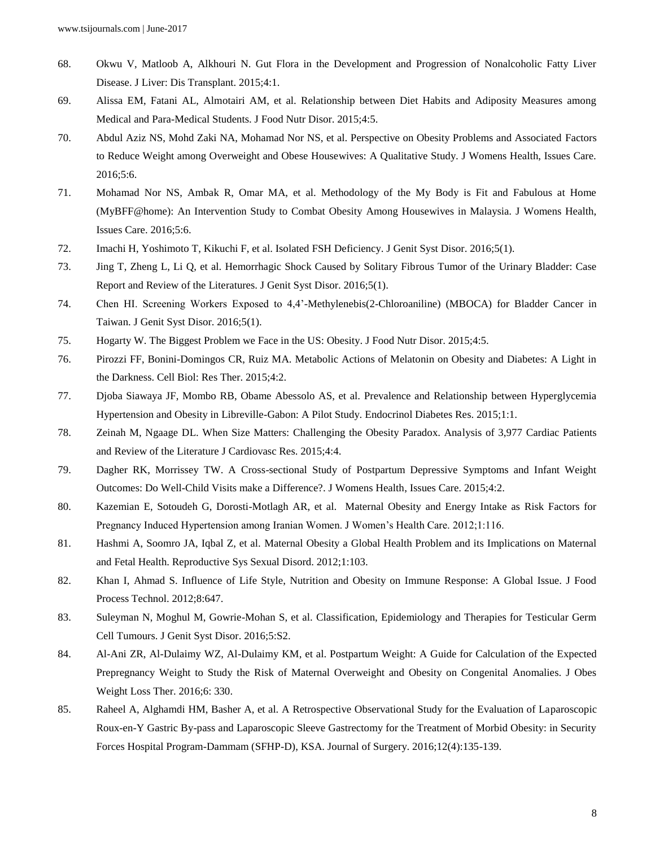- 68. Okwu V, Matloob A, Alkhouri N. Gut Flora in the Development and Progression of Nonalcoholic Fatty Liver Disease. J Liver: Dis Transplant. 2015;4:1.
- 69. Alissa EM, Fatani AL, Almotairi AM, et al. Relationship between Diet Habits and Adiposity Measures among Medical and Para-Medical Students. J Food Nutr Disor. 2015;4:5.
- 70. Abdul Aziz NS, Mohd Zaki NA, Mohamad Nor NS, et al. Perspective on Obesity Problems and Associated Factors to Reduce Weight among Overweight and Obese Housewives: A Qualitative Study. J Womens Health, Issues Care. 2016;5:6.
- 71. Mohamad Nor NS, Ambak R, Omar MA, et al. Methodology of the My Body is Fit and Fabulous at Home (MyBFF@home): An Intervention Study to Combat Obesity Among Housewives in Malaysia. J Womens Health, Issues Care. 2016;5:6.
- 72. Imachi H, Yoshimoto T, Kikuchi F, et al. Isolated FSH Deficiency. J Genit Syst Disor. 2016;5(1).
- 73. Jing T, Zheng L, Li Q, et al. Hemorrhagic Shock Caused by Solitary Fibrous Tumor of the Urinary Bladder: Case Report and Review of the Literatures. J Genit Syst Disor. 2016;5(1).
- 74. Chen HI. Screening Workers Exposed to 4,4'-Methylenebis(2-Chloroaniline) (MBOCA) for Bladder Cancer in Taiwan. J Genit Syst Disor. 2016;5(1).
- 75. Hogarty W. The Biggest Problem we Face in the US: Obesity. J Food Nutr Disor. 2015;4:5.
- 76. Pirozzi FF, Bonini-Domingos CR, Ruiz MA. Metabolic Actions of Melatonin on Obesity and Diabetes: A Light in the Darkness. Cell Biol: Res Ther. 2015;4:2.
- 77. Djoba Siawaya JF, Mombo RB, Obame Abessolo AS, et al. Prevalence and Relationship between Hyperglycemia Hypertension and Obesity in Libreville-Gabon: A Pilot Study. Endocrinol Diabetes Res. 2015;1:1.
- 78. Zeinah M, Ngaage DL. When Size Matters: Challenging the Obesity Paradox. Analysis of 3,977 Cardiac Patients and Review of the Literature J Cardiovasc Res. 2015;4:4.
- 79. Dagher RK, Morrissey TW. A Cross-sectional Study of Postpartum Depressive Symptoms and Infant Weight Outcomes: Do Well-Child Visits make a Difference?. J Womens Health, Issues Care. 2015;4:2.
- 80. Kazemian E, Sotoudeh G, Dorosti-Motlagh AR, et al. Maternal Obesity and Energy Intake as Risk Factors for Pregnancy Induced Hypertension among Iranian Women. J Women's Health Care. 2012;1:116.
- 81. Hashmi A, Soomro JA, Iqbal Z, et al. Maternal Obesity a Global Health Problem and its Implications on Maternal and Fetal Health. Reproductive Sys Sexual Disord. 2012;1:103.
- 82. Khan I, Ahmad S. Influence of Life Style, Nutrition and Obesity on Immune Response: A Global Issue. J Food Process Technol. 2012;8:647.
- 83. Suleyman N, Moghul M, Gowrie-Mohan S, et al. Classification, Epidemiology and Therapies for Testicular Germ Cell Tumours. J Genit Syst Disor. 2016;5:S2.
- 84. Al-Ani ZR, Al-Dulaimy WZ, Al-Dulaimy KM, et al. Postpartum Weight: A Guide for Calculation of the Expected Prepregnancy Weight to Study the Risk of Maternal Overweight and Obesity on Congenital Anomalies. J Obes Weight Loss Ther. 2016;6: 330.
- 85. Raheel A, Alghamdi HM, Basher A, et al. A Retrospective Observational Study for the Evaluation of Laparoscopic Roux-en-Y Gastric By-pass and Laparoscopic Sleeve Gastrectomy for the Treatment of Morbid Obesity: in Security Forces Hospital Program-Dammam (SFHP-D), KSA. Journal of Surgery. 2016;12(4):135-139.